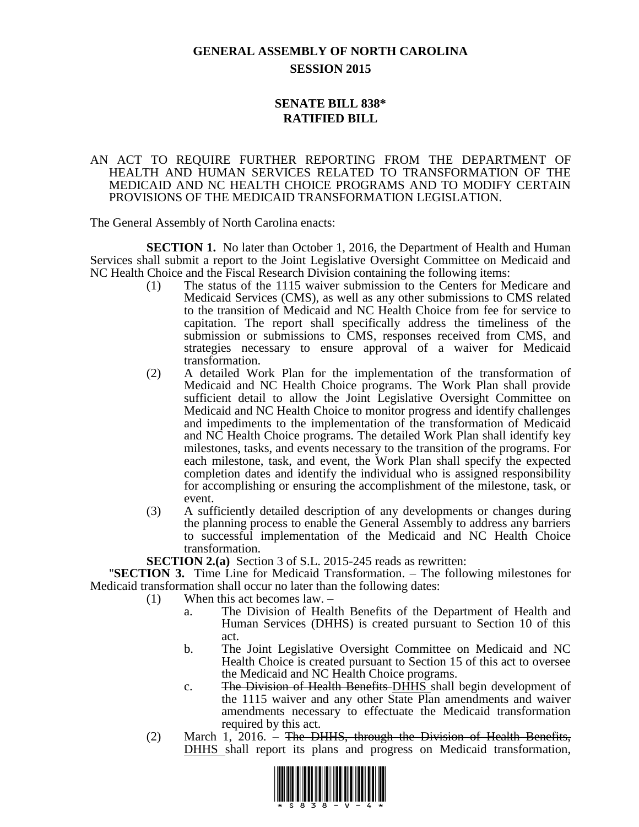# **GENERAL ASSEMBLY OF NORTH CAROLINA SESSION 2015**

# **SENATE BILL 838\* RATIFIED BILL**

#### AN ACT TO REQUIRE FURTHER REPORTING FROM THE DEPARTMENT OF HEALTH AND HUMAN SERVICES RELATED TO TRANSFORMATION OF THE MEDICAID AND NC HEALTH CHOICE PROGRAMS AND TO MODIFY CERTAIN PROVISIONS OF THE MEDICAID TRANSFORMATION LEGISLATION.

The General Assembly of North Carolina enacts:

**SECTION 1.** No later than October 1, 2016, the Department of Health and Human Services shall submit a report to the Joint Legislative Oversight Committee on Medicaid and NC Health Choice and the Fiscal Research Division containing the following items:

- (1) The status of the 1115 waiver submission to the Centers for Medicare and Medicaid Services (CMS), as well as any other submissions to CMS related to the transition of Medicaid and NC Health Choice from fee for service to capitation. The report shall specifically address the timeliness of the submission or submissions to CMS, responses received from CMS, and strategies necessary to ensure approval of a waiver for Medicaid transformation.
- (2) A detailed Work Plan for the implementation of the transformation of Medicaid and NC Health Choice programs. The Work Plan shall provide sufficient detail to allow the Joint Legislative Oversight Committee on Medicaid and NC Health Choice to monitor progress and identify challenges and impediments to the implementation of the transformation of Medicaid and NC Health Choice programs. The detailed Work Plan shall identify key milestones, tasks, and events necessary to the transition of the programs. For each milestone, task, and event, the Work Plan shall specify the expected completion dates and identify the individual who is assigned responsibility for accomplishing or ensuring the accomplishment of the milestone, task, or event.
- (3) A sufficiently detailed description of any developments or changes during the planning process to enable the General Assembly to address any barriers to successful implementation of the Medicaid and NC Health Choice transformation.

**SECTION 2.(a)** Section 3 of S.L. 2015-245 reads as rewritten:

"**SECTION 3.** Time Line for Medicaid Transformation. – The following milestones for Medicaid transformation shall occur no later than the following dates:

- (1) When this act becomes law.
	- a. The Division of Health Benefits of the Department of Health and Human Services (DHHS) is created pursuant to Section 10 of this act.
	- b. The Joint Legislative Oversight Committee on Medicaid and NC Health Choice is created pursuant to Section 15 of this act to oversee the Medicaid and NC Health Choice programs.
	- c. The Division of Health Benefits-DHHS shall begin development of the 1115 waiver and any other State Plan amendments and waiver amendments necessary to effectuate the Medicaid transformation required by this act.
- (2) March 1, 2016. The DHHS, through the Division of Health Benefits, DHHS shall report its plans and progress on Medicaid transformation,

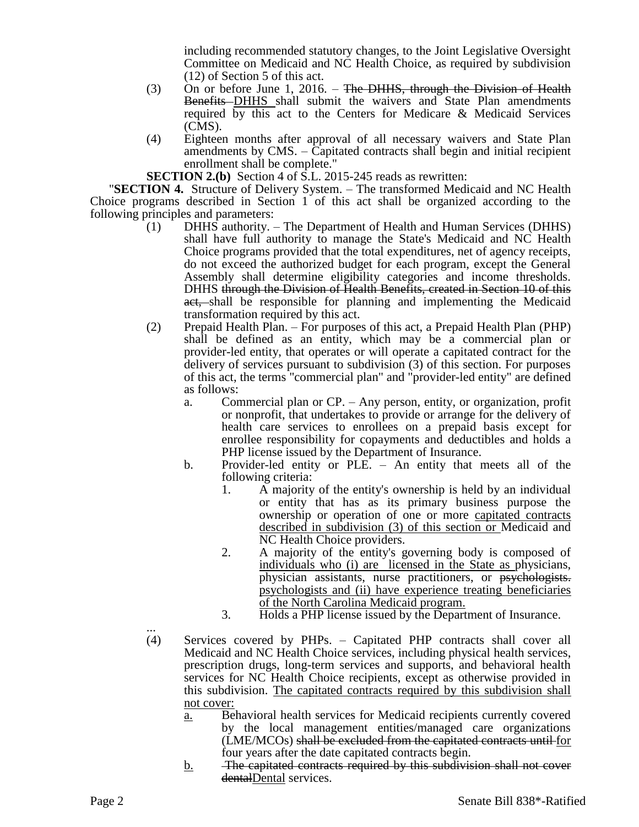including recommended statutory changes, to the Joint Legislative Oversight Committee on Medicaid and NC Health Choice, as required by subdivision (12) of Section 5 of this act.

- (3) On or before June 1, 2016. The DHHS, through the Division of Health Benefits DHHS shall submit the waivers and State Plan amendments required by this act to the Centers for Medicare & Medicaid Services (CMS).
- (4) Eighteen months after approval of all necessary waivers and State Plan amendments by CMS. – Capitated contracts shall begin and initial recipient enrollment shall be complete."

**SECTION 2.(b)** Section 4 of S.L. 2015-245 reads as rewritten:

"**SECTION 4.** Structure of Delivery System. – The transformed Medicaid and NC Health Choice programs described in Section 1 of this act shall be organized according to the following principles and parameters:

- (1) DHHS authority. The Department of Health and Human Services (DHHS) shall have full authority to manage the State's Medicaid and NC Health Choice programs provided that the total expenditures, net of agency receipts, do not exceed the authorized budget for each program, except the General Assembly shall determine eligibility categories and income thresholds. DHHS through the Division of Health Benefits, created in Section 10 of this act, shall be responsible for planning and implementing the Medicaid transformation required by this act.
- (2) Prepaid Health Plan. For purposes of this act, a Prepaid Health Plan (PHP) shall be defined as an entity, which may be a commercial plan or provider-led entity, that operates or will operate a capitated contract for the delivery of services pursuant to subdivision (3) of this section. For purposes of this act, the terms "commercial plan" and "provider-led entity" are defined as follows:
	- a. Commercial plan or CP. Any person, entity, or organization, profit or nonprofit, that undertakes to provide or arrange for the delivery of health care services to enrollees on a prepaid basis except for enrollee responsibility for copayments and deductibles and holds a PHP license issued by the Department of Insurance.
	- b. Provider-led entity or PLE. An entity that meets all of the following criteria:
		- 1. A majority of the entity's ownership is held by an individual or entity that has as its primary business purpose the ownership or operation of one or more capitated contracts described in subdivision (3) of this section or Medicaid and NC Health Choice providers.
		- 2. A majority of the entity's governing body is composed of individuals who (i) are licensed in the State as physicians, physician assistants, nurse practitioners, or psychologists. psychologists and (ii) have experience treating beneficiaries of the North Carolina Medicaid program.
		- 3. Holds a PHP license issued by the Department of Insurance.
- ... (4) Services covered by PHPs. – Capitated PHP contracts shall cover all Medicaid and NC Health Choice services, including physical health services, prescription drugs, long-term services and supports, and behavioral health services for NC Health Choice recipients, except as otherwise provided in this subdivision. The capitated contracts required by this subdivision shall not cover:
	- a. Behavioral health services for Medicaid recipients currently covered by the local management entities/managed care organizations (LME/MCOs) shall be excluded from the capitated contracts until for four years after the date capitated contracts begin.
	- b. The capitated contracts required by this subdivision shall not cover dentalDental services.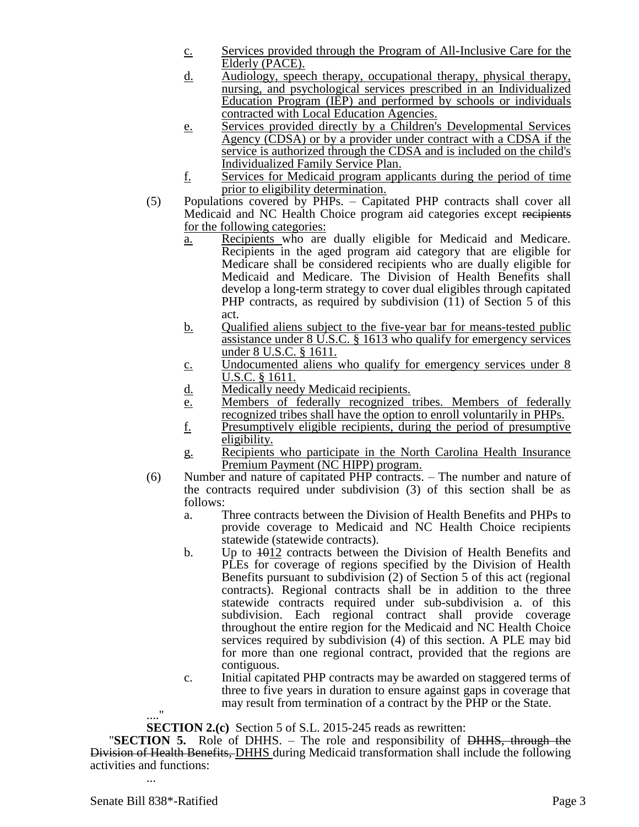- c. Services provided through the Program of All-Inclusive Care for the Elderly (PACE).
- d. Audiology, speech therapy, occupational therapy, physical therapy, nursing, and psychological services prescribed in an Individualized Education Program (IEP) and performed by schools or individuals contracted with Local Education Agencies.
- e. Services provided directly by a Children's Developmental Services Agency (CDSA) or by a provider under contract with a CDSA if the service is authorized through the CDSA and is included on the child's Individualized Family Service Plan.
- f. Services for Medicaid program applicants during the period of time prior to eligibility determination.
- (5) Populations covered by PHPs. Capitated PHP contracts shall cover all Medicaid and NC Health Choice program aid categories except recipients for the following categories:
	- a. Recipients who are dually eligible for Medicaid and Medicare. Recipients in the aged program aid category that are eligible for Medicare shall be considered recipients who are dually eligible for Medicaid and Medicare. The Division of Health Benefits shall develop a long-term strategy to cover dual eligibles through capitated PHP contracts, as required by subdivision (11) of Section 5 of this act.
	- b. Qualified aliens subject to the five-year bar for means-tested public assistance under 8 U.S.C. § 1613 who qualify for emergency services under 8 U.S.C. § 1611.
	- c. Undocumented aliens who qualify for emergency services under 8 U.S.C. § 1611.
	- d. Medically needy Medicaid recipients.
	- e. Members of federally recognized tribes. Members of federally recognized tribes shall have the option to enroll voluntarily in PHPs.
	- f. Presumptively eligible recipients, during the period of presumptive eligibility.
	- g. Recipients who participate in the North Carolina Health Insurance Premium Payment (NC HIPP) program.
- (6) Number and nature of capitated PHP contracts. The number and nature of the contracts required under subdivision (3) of this section shall be as follows:
	- a. Three contracts between the Division of Health Benefits and PHPs to provide coverage to Medicaid and NC Health Choice recipients statewide (statewide contracts).
	- b. Up to  $\frac{1012}{2}$  contracts between the Division of Health Benefits and PLEs for coverage of regions specified by the Division of Health Benefits pursuant to subdivision (2) of Section 5 of this act (regional contracts). Regional contracts shall be in addition to the three statewide contracts required under sub-subdivision a. of this subdivision. Each regional contract shall provide coverage throughout the entire region for the Medicaid and NC Health Choice services required by subdivision (4) of this section. A PLE may bid for more than one regional contract, provided that the regions are contiguous.
	- c. Initial capitated PHP contracts may be awarded on staggered terms of three to five years in duration to ensure against gaps in coverage that may result from termination of a contract by the PHP or the State.

## ...." **SECTION 2.(c)** Section 5 of S.L. 2015-245 reads as rewritten:

"**SECTION 5.** Role of DHHS. – The role and responsibility of DHHS, through the **Division of Health Benefits, DHHS during Medicaid transformation shall include the following** activities and functions: ...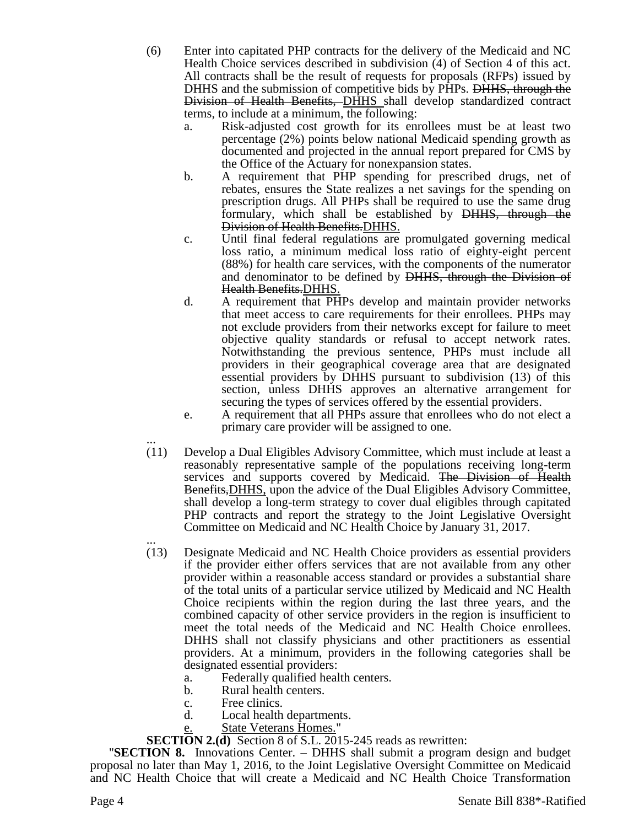- (6) Enter into capitated PHP contracts for the delivery of the Medicaid and NC Health Choice services described in subdivision (4) of Section 4 of this act. All contracts shall be the result of requests for proposals (RFPs) issued by DHHS and the submission of competitive bids by PHPs. DHHS, through the Division of Health Benefits, DHHS shall develop standardized contract terms, to include at a minimum, the following:
	- a. Risk-adjusted cost growth for its enrollees must be at least two percentage (2%) points below national Medicaid spending growth as documented and projected in the annual report prepared for CMS by the Office of the Actuary for nonexpansion states.
	- b. A requirement that PHP spending for prescribed drugs, net of rebates, ensures the State realizes a net savings for the spending on prescription drugs. All PHPs shall be required to use the same drug formulary, which shall be established by DHHS, through the Division of Health Benefits.DHHS.
	- c. Until final federal regulations are promulgated governing medical loss ratio, a minimum medical loss ratio of eighty-eight percent (88%) for health care services, with the components of the numerator and denominator to be defined by DHHS, through the Division of Health Benefits.DHHS.
	- d. A requirement that PHPs develop and maintain provider networks that meet access to care requirements for their enrollees. PHPs may not exclude providers from their networks except for failure to meet objective quality standards or refusal to accept network rates. Notwithstanding the previous sentence, PHPs must include all providers in their geographical coverage area that are designated essential providers by DHHS pursuant to subdivision (13) of this section, unless DHHS approves an alternative arrangement for securing the types of services offered by the essential providers.
	- e. A requirement that all PHPs assure that enrollees who do not elect a primary care provider will be assigned to one.
- ... (11) Develop a Dual Eligibles Advisory Committee, which must include at least a reasonably representative sample of the populations receiving long-term services and supports covered by Medicaid. The Division of Health Benefits,DHHS, upon the advice of the Dual Eligibles Advisory Committee, shall develop a long-term strategy to cover dual eligibles through capitated PHP contracts and report the strategy to the Joint Legislative Oversight Committee on Medicaid and NC Health Choice by January 31, 2017.
- ... (13) Designate Medicaid and NC Health Choice providers as essential providers if the provider either offers services that are not available from any other provider within a reasonable access standard or provides a substantial share of the total units of a particular service utilized by Medicaid and NC Health Choice recipients within the region during the last three years, and the combined capacity of other service providers in the region is insufficient to meet the total needs of the Medicaid and NC Health Choice enrollees. DHHS shall not classify physicians and other practitioners as essential providers. At a minimum, providers in the following categories shall be designated essential providers:
	- a. Federally qualified health centers.
	- b. Rural health centers.
	- c. Free clinics.
	- d. Local health departments.
	- State Veterans Homes."

**SECTION 2.(d)** Section 8 of S.L. 2015-245 reads as rewritten:

"**SECTION 8.** Innovations Center. – DHHS shall submit a program design and budget proposal no later than May 1, 2016, to the Joint Legislative Oversight Committee on Medicaid and NC Health Choice that will create a Medicaid and NC Health Choice Transformation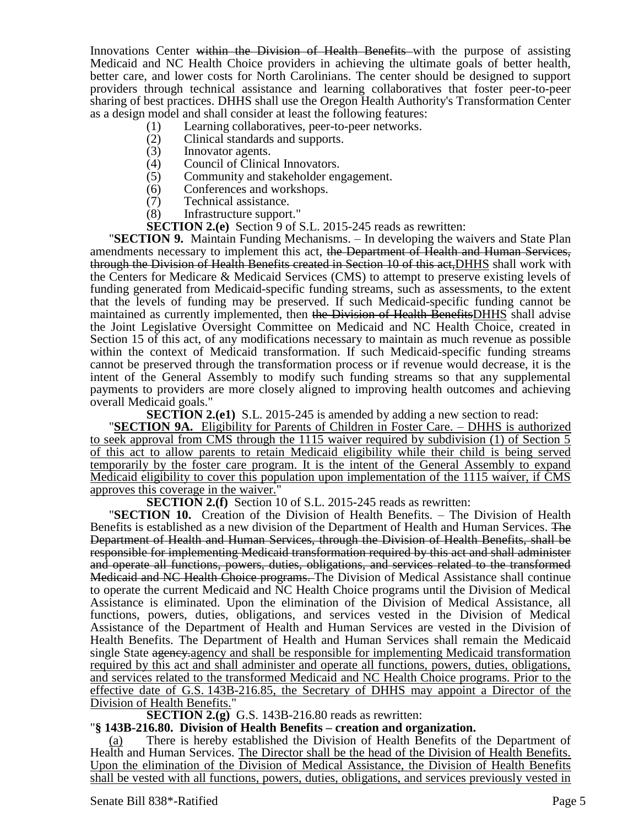Innovations Center within the Division of Health Benefits with the purpose of assisting Medicaid and NC Health Choice providers in achieving the ultimate goals of better health, better care, and lower costs for North Carolinians. The center should be designed to support providers through technical assistance and learning collaboratives that foster peer-to-peer sharing of best practices. DHHS shall use the Oregon Health Authority's Transformation Center as a design model and shall consider at least the following features:

- (1) Learning collaboratives, peer-to-peer networks.
- (2) Clinical standards and supports.
- (3) Innovator agents.<br>(4) Council of Clinics
- Council of Clinical Innovators.
- (5) Community and stakeholder engagement.<br>(6) Conferences and workshops.
- Conferences and workshops.
- (7) Technical assistance.<br>(8) Infrastructure support
- Infrastructure support."
- **SECTION 2.(e)** Section 9 of S.L. 2015-245 reads as rewritten:

"**SECTION 9.** Maintain Funding Mechanisms. – In developing the waivers and State Plan amendments necessary to implement this act, the Department of Health and Human Services, through the Division of Health Benefits created in Section 10 of this act,DHHS shall work with the Centers for Medicare & Medicaid Services (CMS) to attempt to preserve existing levels of funding generated from Medicaid-specific funding streams, such as assessments, to the extent that the levels of funding may be preserved. If such Medicaid-specific funding cannot be maintained as currently implemented, then the Division of Health BenefitsDHHS shall advise the Joint Legislative Oversight Committee on Medicaid and NC Health Choice, created in Section 15 of this act, of any modifications necessary to maintain as much revenue as possible within the context of Medicaid transformation. If such Medicaid-specific funding streams cannot be preserved through the transformation process or if revenue would decrease, it is the intent of the General Assembly to modify such funding streams so that any supplemental payments to providers are more closely aligned to improving health outcomes and achieving overall Medicaid goals."

**SECTION 2.(e1)** S.L. 2015-245 is amended by adding a new section to read:

"**SECTION 9A.** Eligibility for Parents of Children in Foster Care. – DHHS is authorized to seek approval from CMS through the 1115 waiver required by subdivision (1) of Section 5 of this act to allow parents to retain Medicaid eligibility while their child is being served temporarily by the foster care program. It is the intent of the General Assembly to expand Medicaid eligibility to cover this population upon implementation of the 1115 waiver, if CMS approves this coverage in the waiver.

**SECTION 2.(f)** Section 10 of S.L. 2015-245 reads as rewritten:

"**SECTION 10.** Creation of the Division of Health Benefits. – The Division of Health Benefits is established as a new division of the Department of Health and Human Services. The Department of Health and Human Services, through the Division of Health Benefits, shall be responsible for implementing Medicaid transformation required by this act and shall administer and operate all functions, powers, duties, obligations, and services related to the transformed Medicaid and NC Health Choice programs. The Division of Medical Assistance shall continue to operate the current Medicaid and NC Health Choice programs until the Division of Medical Assistance is eliminated. Upon the elimination of the Division of Medical Assistance, all functions, powers, duties, obligations, and services vested in the Division of Medical Assistance of the Department of Health and Human Services are vested in the Division of Health Benefits. The Department of Health and Human Services shall remain the Medicaid single State agency-agency and shall be responsible for implementing Medicaid transformation required by this act and shall administer and operate all functions, powers, duties, obligations, and services related to the transformed Medicaid and NC Health Choice programs. Prior to the effective date of G.S. 143B-216.85, the Secretary of DHHS may appoint a Director of the **Division of Health Benefits."** 

**SECTION 2.(g)** G.S. 143B-216.80 reads as rewritten:

## "**§ 143B-216.80. Division of Health Benefits – creation and organization.**

(a) There is hereby established the Division of Health Benefits of the Department of Health and Human Services. The Director shall be the head of the Division of Health Benefits. Upon the elimination of the Division of Medical Assistance, the Division of Health Benefits shall be vested with all functions, powers, duties, obligations, and services previously vested in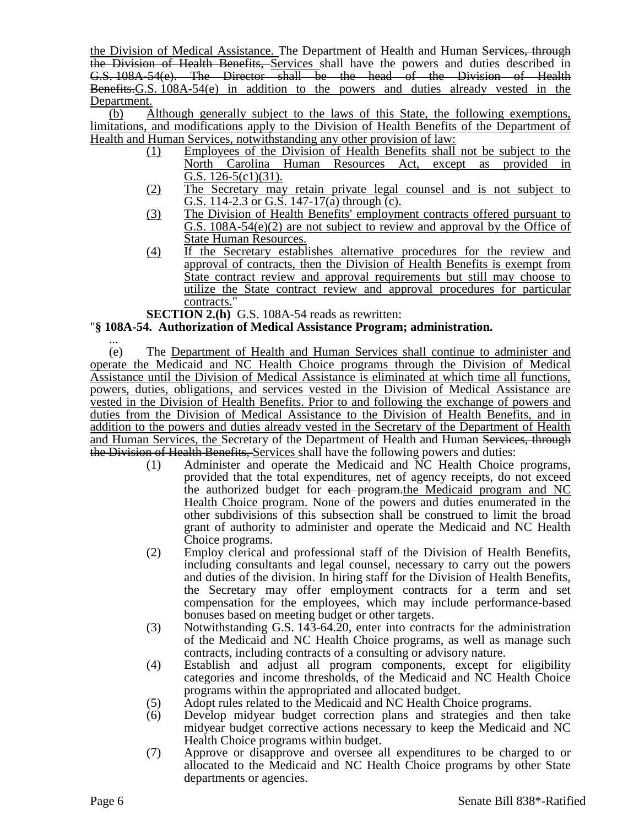the Division of Medical Assistance. The Department of Health and Human Services, through the Division of Health Benefits, Services shall have the powers and duties described in G.S. 108A-54(e). The Director shall be the head of the Division of Health Benefits.G.S. 108A-54(e) in addition to the powers and duties already vested in the Department.

(b) Although generally subject to the laws of this State, the following exemptions, limitations, and modifications apply to the Division of Health Benefits of the Department of Health and Human Services, notwithstanding any other provision of law:

- (1) Employees of the Division of Health Benefits shall not be subject to the North Carolina Human Resources Act, except as provided in G.S.  $126-5(c1)(31)$ .
- (2) The Secretary may retain private legal counsel and is not subject to G.S. 114-2.3 or G.S. 147-17(a) through (c).
- (3) The Division of Health Benefits' employment contracts offered pursuant to G.S. 108A-54(e)(2) are not subject to review and approval by the Office of State Human Resources.
- (4) If the Secretary establishes alternative procedures for the review and approval of contracts, then the Division of Health Benefits is exempt from State contract review and approval requirements but still may choose to utilize the State contract review and approval procedures for particular contracts.

**SECTION 2.(h)** G.S. 108A-54 reads as rewritten:

# "**§ 108A-54. Authorization of Medical Assistance Program; administration.**

... (e) The Department of Health and Human Services shall continue to administer and operate the Medicaid and NC Health Choice programs through the Division of Medical Assistance until the Division of Medical Assistance is eliminated at which time all functions, powers, duties, obligations, and services vested in the Division of Medical Assistance are vested in the Division of Health Benefits. Prior to and following the exchange of powers and duties from the Division of Medical Assistance to the Division of Health Benefits, and in addition to the powers and duties already vested in the Secretary of the Department of Health and Human Services, the Secretary of the Department of Health and Human Services, through the Division of Health Benefits, Services shall have the following powers and duties:

- (1) Administer and operate the Medicaid and NC Health Choice programs, provided that the total expenditures, net of agency receipts, do not exceed the authorized budget for each program.the Medicaid program and NC Health Choice program. None of the powers and duties enumerated in the other subdivisions of this subsection shall be construed to limit the broad grant of authority to administer and operate the Medicaid and NC Health Choice programs.
- (2) Employ clerical and professional staff of the Division of Health Benefits, including consultants and legal counsel, necessary to carry out the powers and duties of the division. In hiring staff for the Division of Health Benefits, the Secretary may offer employment contracts for a term and set compensation for the employees, which may include performance-based bonuses based on meeting budget or other targets.
- (3) Notwithstanding G.S. 143-64.20, enter into contracts for the administration of the Medicaid and NC Health Choice programs, as well as manage such contracts, including contracts of a consulting or advisory nature.
- (4) Establish and adjust all program components, except for eligibility categories and income thresholds, of the Medicaid and NC Health Choice programs within the appropriated and allocated budget.
- (5) Adopt rules related to the Medicaid and NC Health Choice programs.
- (6) Develop midyear budget correction plans and strategies and then take midyear budget corrective actions necessary to keep the Medicaid and NC Health Choice programs within budget.
- (7) Approve or disapprove and oversee all expenditures to be charged to or allocated to the Medicaid and NC Health Choice programs by other State departments or agencies.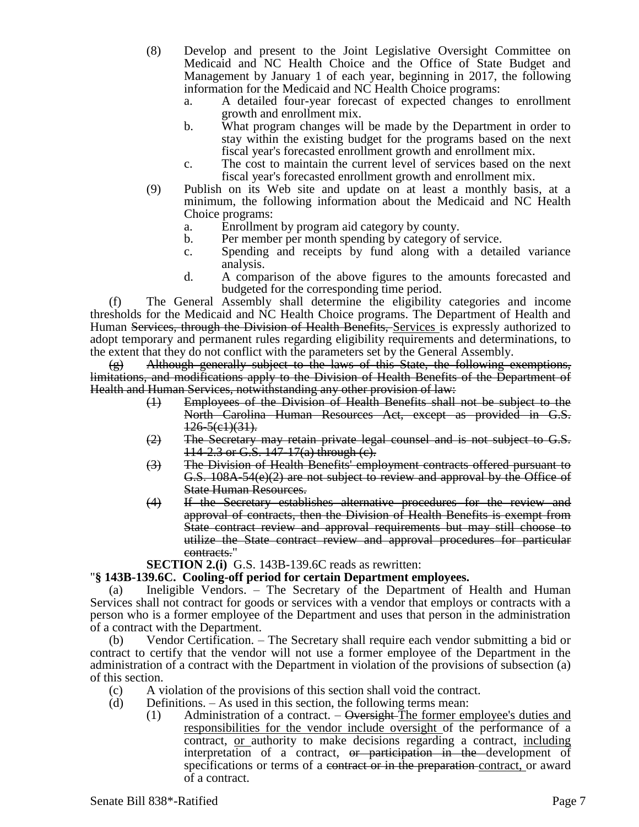- (8) Develop and present to the Joint Legislative Oversight Committee on Medicaid and NC Health Choice and the Office of State Budget and Management by January 1 of each year, beginning in 2017, the following information for the Medicaid and NC Health Choice programs:
	- a. A detailed four-year forecast of expected changes to enrollment growth and enrollment mix.
	- b. What program changes will be made by the Department in order to stay within the existing budget for the programs based on the next fiscal year's forecasted enrollment growth and enrollment mix.
	- c. The cost to maintain the current level of services based on the next fiscal year's forecasted enrollment growth and enrollment mix.
- (9) Publish on its Web site and update on at least a monthly basis, at a minimum, the following information about the Medicaid and NC Health Choice programs:
	- a. Enrollment by program aid category by county.
	- b. Per member per month spending by category of service.
	- c. Spending and receipts by fund along with a detailed variance analysis.
	- d. A comparison of the above figures to the amounts forecasted and budgeted for the corresponding time period.

(f) The General Assembly shall determine the eligibility categories and income thresholds for the Medicaid and NC Health Choice programs. The Department of Health and Human Services, through the Division of Health Benefits, Services is expressly authorized to adopt temporary and permanent rules regarding eligibility requirements and determinations, to the extent that they do not conflict with the parameters set by the General Assembly.

 $(g)$  Although generally subject to the laws of this State, the following exemptions, limitations, and modifications apply to the Division of Health Benefits of the Department of Health and Human Services, notwithstanding any other provision of law:

- (1) Employees of the Division of Health Benefits shall not be subject to the North Carolina Human Resources Act, except as provided in G.S.  $126 - 5(21)(31)$ .
- $(2)$  The Secretary may retain private legal counsel and is not subject to G.S. 114-2.3 or G.S. 147-17(a) through (c).
- (3) The Division of Health Benefits' employment contracts offered pursuant to G.S. 108A-54(e)(2) are not subject to review and approval by the Office of State Human Resources.
- (4) If the Secretary establishes alternative procedures for the review and approval of contracts, then the Division of Health Benefits is exempt from State contract review and approval requirements but may still choose to utilize the State contract review and approval procedures for particular contracts."

**SECTION 2.(i)** G.S. 143B-139.6C reads as rewritten:

## "**§ 143B-139.6C. Cooling-off period for certain Department employees.**

(a) Ineligible Vendors. – The Secretary of the Department of Health and Human Services shall not contract for goods or services with a vendor that employs or contracts with a person who is a former employee of the Department and uses that person in the administration of a contract with the Department.

(b) Vendor Certification. – The Secretary shall require each vendor submitting a bid or contract to certify that the vendor will not use a former employee of the Department in the administration of a contract with the Department in violation of the provisions of subsection (a) of this section.

- (c) A violation of the provisions of this section shall void the contract.
- (d) Definitions. As used in this section, the following terms mean:
	- $(1)$  Administration of a contract. Oversight The former employee's duties and responsibilities for the vendor include oversight of the performance of a contract, <u>or authority</u> to make decisions regarding a contract, including interpretation of a contract, or participation in the development of specifications or terms of a contract or in the preparation contract, or award of a contract.